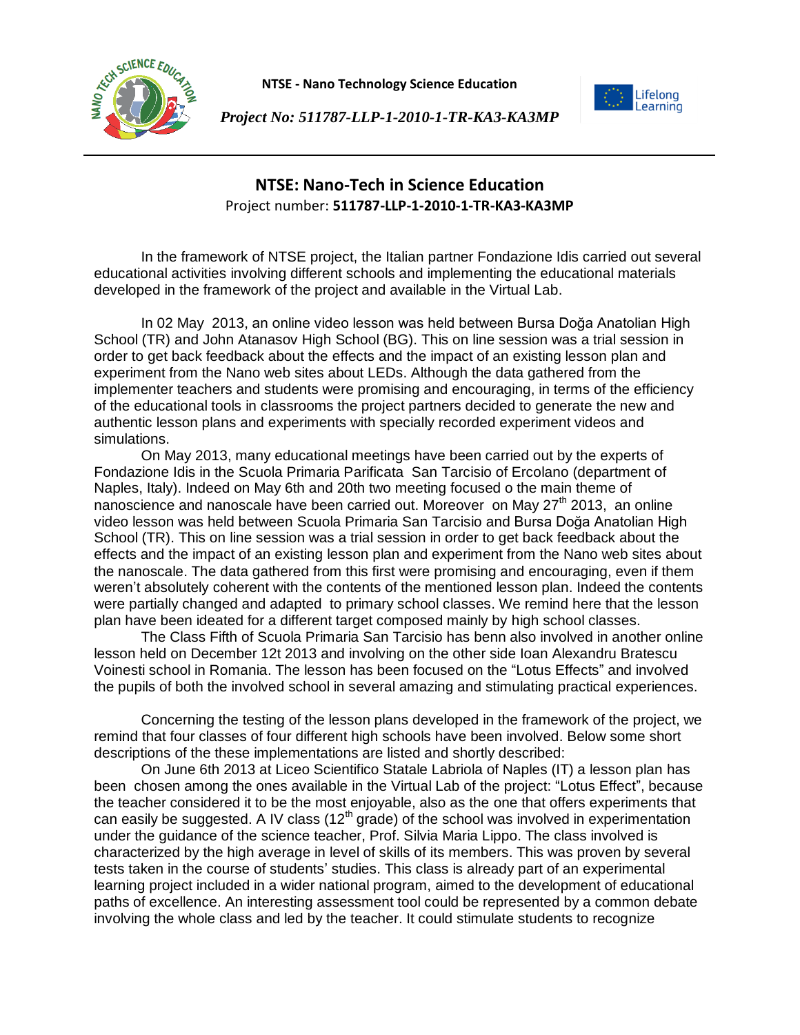

**NTSE - Nano Technology Science Education**





## **NTSE: Nano-Tech in Science Education** Project number: **511787-LLP-1-2010-1-TR-KA3-KA3MP**

In the framework of NTSE project, the Italian partner Fondazione Idis carried out several educational activities involving different schools and implementing the educational materials developed in the framework of the project and available in the Virtual Lab.

In 02 May 2013, an online video lesson was held between Bursa Doğa Anatolian High School (TR) and John Atanasov High School (BG). This on line session was a trial session in order to get back feedback about the effects and the impact of an existing lesson plan and experiment from the Nano web sites about LEDs. Although the data gathered from the implementer teachers and students were promising and encouraging, in terms of the efficiency of the educational tools in classrooms the project partners decided to generate the new and authentic lesson plans and experiments with specially recorded experiment videos and simulations.

On May 2013, many educational meetings have been carried out by the experts of Fondazione Idis in the Scuola Primaria Parificata San Tarcisio of Ercolano (department of Naples, Italy). Indeed on May 6th and 20th two meeting focused o the main theme of nanoscience and nanoscale have been carried out. Moreover on May  $27<sup>th</sup>$  2013, an online video lesson was held between Scuola Primaria San Tarcisio and Bursa Doğa Anatolian High School (TR). This on line session was a trial session in order to get back feedback about the effects and the impact of an existing lesson plan and experiment from the Nano web sites about the nanoscale. The data gathered from this first were promising and encouraging, even if them weren't absolutely coherent with the contents of the mentioned lesson plan. Indeed the contents were partially changed and adapted to primary school classes. We remind here that the lesson plan have been ideated for a different target composed mainly by high school classes.

The Class Fifth of Scuola Primaria San Tarcisio has benn also involved in another online lesson held on December 12t 2013 and involving on the other side Ioan Alexandru Bratescu Voinesti school in Romania. The lesson has been focused on the "Lotus Effects" and involved the pupils of both the involved school in several amazing and stimulating practical experiences.

Concerning the testing of the lesson plans developed in the framework of the project, we remind that four classes of four different high schools have been involved. Below some short descriptions of the these implementations are listed and shortly described:

On June 6th 2013 at Liceo Scientifico Statale Labriola of Naples (IT) a lesson plan has been chosen among the ones available in the Virtual Lab of the project: "Lotus Effect", because the teacher considered it to be the most enjoyable, also as the one that offers experiments that can easily be suggested. A IV class ( $12<sup>th</sup>$  grade) of the school was involved in experimentation under the guidance of the science teacher, Prof. Silvia Maria Lippo. The class involved is characterized by the high average in level of skills of its members. This was proven by several tests taken in the course of students' studies. This class is already part of an experimental learning project included in a wider national program, aimed to the development of educational paths of excellence. An interesting assessment tool could be represented by a common debate involving the whole class and led by the teacher. It could stimulate students to recognize